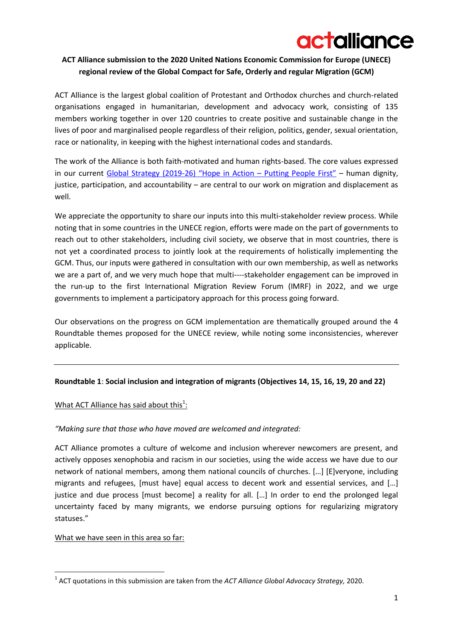# actalliance

# **ACT Alliance submission to the 2020 United Nations Economic Commission for Europe (UNECE) regional review of the Global Compact for Safe, Orderly and regular Migration (GCM)**

ACT Alliance is the largest global coalition of Protestant and Orthodox churches and church-related organisations engaged in humanitarian, development and advocacy work, consisting of 135 members working together in over 120 countries to create positive and sustainable change in the lives of poor and marginalised people regardless of their religion, politics, gender, sexual orientation, race or nationality, in keeping with the highest international codes and standards.

The work of the Alliance is both faith-motivated and human rights-based. The core values expressed in our current [Global Strategy \(2019-](https://actalliance.org/wp-content/uploads/2019/05/EN_act-strategy-2019-26_web-3.pdf)26) "Hope in Action – Putting People First" – human dignity, justice, participation, and accountability – are central to our work on migration and displacement as well.

We appreciate the opportunity to share our inputs into this multi-stakeholder review process. While noting that in some countries in the UNECE region, efforts were made on the part of governments to reach out to other stakeholders, including civil society, we observe that in most countries, there is not yet a coordinated process to jointly look at the requirements of holistically implementing the GCM. Thus, our inputs were gathered in consultation with our own membership, as well as networks we are a part of, and we very much hope that multi----stakeholder engagement can be improved in the run-up to the first International Migration Review Forum (IMRF) in 2022, and we urge governments to implement a participatory approach for this process going forward.

Our observations on the progress on GCM implementation are thematically grouped around the 4 Roundtable themes proposed for the UNECE review, while noting some inconsistencies, wherever applicable.

## **Roundtable 1**: **Social inclusion and integration of migrants (Objectives 14, 15, 16, 19, 20 and 22)**

# What ACT Alliance has said about this $1$ :

## *"Making sure that those who have moved are welcomed and integrated:*

ACT Alliance promotes a culture of welcome and inclusion wherever newcomers are present, and actively opposes xenophobia and racism in our societies, using the wide access we have due to our network of national members, among them national councils of churches. […] [E]veryone, including migrants and refugees, [must have] equal access to decent work and essential services, and […] justice and due process [must become] a reality for all. […] In order to end the prolonged legal uncertainty faced by many migrants, we endorse pursuing options for regularizing migratory statuses."

## What we have seen in this area so far:

**<sup>.</sup>** 1 ACT quotations in this submission are taken from the *ACT Alliance Global Advocacy Strategy,* 2020.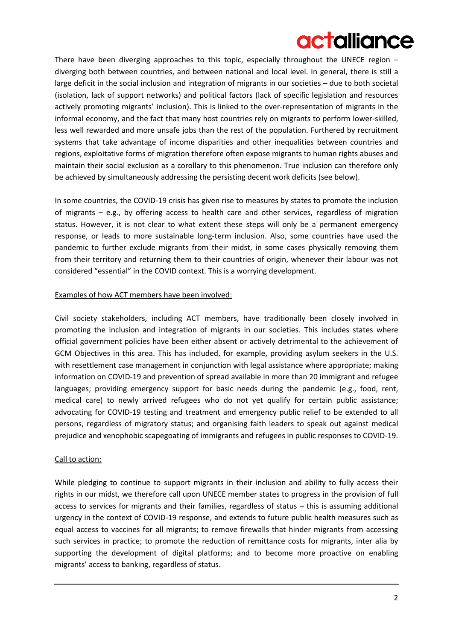# actalliance

There have been diverging approaches to this topic, especially throughout the UNECE region – diverging both between countries, and between national and local level. In general, there is still a large deficit in the social inclusion and integration of migrants in our societies – due to both societal (isolation, lack of support networks) and political factors (lack of specific legislation and resources actively promoting migrants' inclusion). This is linked to the over-representation of migrants in the informal economy, and the fact that many host countries rely on migrants to perform lower-skilled, less well rewarded and more unsafe jobs than the rest of the population. Furthered by recruitment systems that take advantage of income disparities and other inequalities between countries and regions, exploitative forms of migration therefore often expose migrants to human rights abuses and maintain their social exclusion as a corollary to this phenomenon. True inclusion can therefore only be achieved by simultaneously addressing the persisting decent work deficits (see below).

In some countries, the COVID-19 crisis has given rise to measures by states to promote the inclusion of migrants  $-$  e.g., by offering access to health care and other services, regardless of migration status. However, it is not clear to what extent these steps will only be a permanent emergency response, or leads to more sustainable long-term inclusion. Also, some countries have used the pandemic to further exclude migrants from their midst, in some cases physically removing them from their territory and returning them to their countries of origin, whenever their labour was not considered "essential" in the COVID context. This is a worrying development.

## Examples of how ACT members have been involved:

Civil society stakeholders, including ACT members, have traditionally been closely involved in promoting the inclusion and integration of migrants in our societies. This includes states where official government policies have been either absent or actively detrimental to the achievement of GCM Objectives in this area. This has included, for example, providing asylum seekers in the U.S. with resettlement case management in conjunction with legal assistance where appropriate; making information on COVID-19 and prevention of spread available in more than 20 immigrant and refugee languages; providing emergency support for basic needs during the pandemic (e.g., food, rent, medical care) to newly arrived refugees who do not yet qualify for certain public assistance; advocating for COVID-19 testing and treatment and emergency public relief to be extended to all persons, regardless of migratory status; and organising faith leaders to speak out against medical prejudice and xenophobic scapegoating of immigrants and refugees in public responses to COVID-19.

# Call to action:

While pledging to continue to support migrants in their inclusion and ability to fully access their rights in our midst, we therefore call upon UNECE member states to progress in the provision of full access to services for migrants and their families, regardless of status – this is assuming additional urgency in the context of COVID-19 response, and extends to future public health measures such as equal access to vaccines for all migrants; to remove firewalls that hinder migrants from accessing such services in practice; to promote the reduction of remittance costs for migrants, inter alia by supporting the development of digital platforms; and to become more proactive on enabling migrants' access to banking, regardless of status.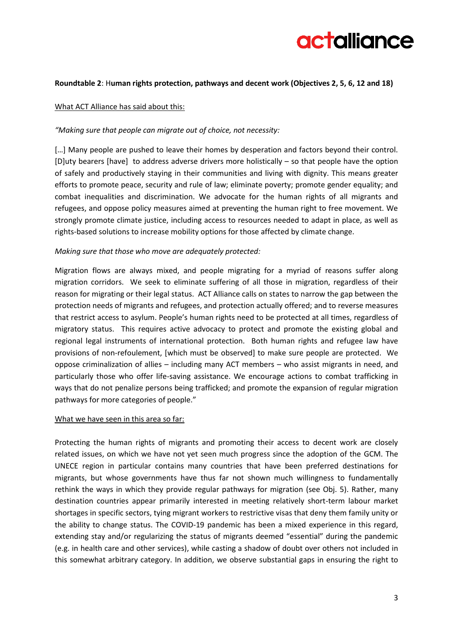

## **Roundtable 2**: H**uman rights protection, pathways and decent work (Objectives 2, 5, 6, 12 and 18)**

#### What ACT Alliance has said about this:

#### *"Making sure that people can migrate out of choice, not necessity:*

[...] Many people are pushed to leave their homes by desperation and factors beyond their control. [D]uty bearers [have] to address adverse drivers more holistically – so that people have the option of safely and productively staying in their communities and living with dignity. This means greater efforts to promote peace, security and rule of law; eliminate poverty; promote gender equality; and combat inequalities and discrimination. We advocate for the human rights of all migrants and refugees, and oppose policy measures aimed at preventing the human right to free movement. We strongly promote climate justice, including access to resources needed to adapt in place, as well as rights-based solutions to increase mobility options for those affected by climate change.

#### *Making sure that those who move are adequately protected:*

Migration flows are always mixed, and people migrating for a myriad of reasons suffer along migration corridors. We seek to eliminate suffering of all those in migration, regardless of their reason for migrating or their legal status. ACT Alliance calls on states to narrow the gap between the protection needs of migrants and refugees, and protection actually offered; and to reverse measures that restrict access to asylum. People's human rights need to be protected at all times, regardless of migratory status. This requires active advocacy to protect and promote the existing global and regional legal instruments of international protection. Both human rights and refugee law have provisions of non-refoulement, [which must be observed] to make sure people are protected. We oppose criminalization of allies – including many ACT members – who assist migrants in need, and particularly those who offer life-saving assistance. We encourage actions to combat trafficking in ways that do not penalize persons being trafficked; and promote the expansion of regular migration pathways for more categories of people."

#### What we have seen in this area so far:

Protecting the human rights of migrants and promoting their access to decent work are closely related issues, on which we have not yet seen much progress since the adoption of the GCM. The UNECE region in particular contains many countries that have been preferred destinations for migrants, but whose governments have thus far not shown much willingness to fundamentally rethink the ways in which they provide regular pathways for migration (see Obj. 5). Rather, many destination countries appear primarily interested in meeting relatively short-term labour market shortages in specific sectors, tying migrant workers to restrictive visas that deny them family unity or the ability to change status. The COVID-19 pandemic has been a mixed experience in this regard, extending stay and/or regularizing the status of migrants deemed "essential" during the pandemic (e.g. in health care and other services), while casting a shadow of doubt over others not included in this somewhat arbitrary category. In addition, we observe substantial gaps in ensuring the right to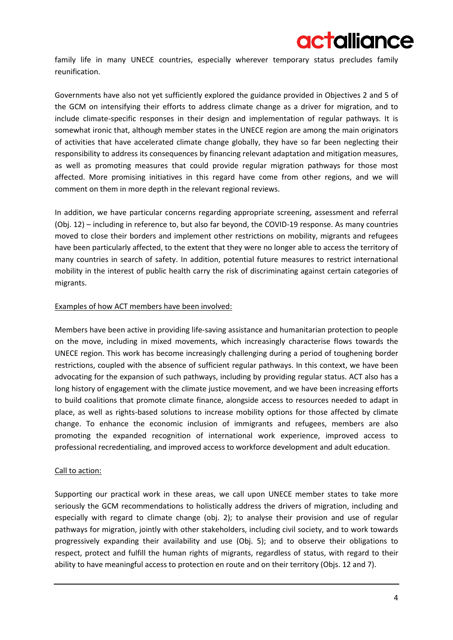

family life in many UNECE countries, especially wherever temporary status precludes family reunification.

Governments have also not yet sufficiently explored the guidance provided in Objectives 2 and 5 of the GCM on intensifying their efforts to address climate change as a driver for migration, and to include climate-specific responses in their design and implementation of regular pathways. It is somewhat ironic that, although member states in the UNECE region are among the main originators of activities that have accelerated climate change globally, they have so far been neglecting their responsibility to address its consequences by financing relevant adaptation and mitigation measures, as well as promoting measures that could provide regular migration pathways for those most affected. More promising initiatives in this regard have come from other regions, and we will comment on them in more depth in the relevant regional reviews.

In addition, we have particular concerns regarding appropriate screening, assessment and referral (Obj. 12) – including in reference to, but also far beyond, the COVID-19 response. As many countries moved to close their borders and implement other restrictions on mobility, migrants and refugees have been particularly affected, to the extent that they were no longer able to access the territory of many countries in search of safety. In addition, potential future measures to restrict international mobility in the interest of public health carry the risk of discriminating against certain categories of migrants.

## Examples of how ACT members have been involved:

Members have been active in providing life-saving assistance and humanitarian protection to people on the move, including in mixed movements, which increasingly characterise flows towards the UNECE region. This work has become increasingly challenging during a period of toughening border restrictions, coupled with the absence of sufficient regular pathways. In this context, we have been advocating for the expansion of such pathways, including by providing regular status. ACT also has a long history of engagement with the climate justice movement, and we have been increasing efforts to build coalitions that promote climate finance, alongside access to resources needed to adapt in place, as well as rights-based solutions to increase mobility options for those affected by climate change. To enhance the economic inclusion of immigrants and refugees, members are also promoting the expanded recognition of international work experience, improved access to professional recredentialing, and improved access to workforce development and adult education.

## Call to action:

Supporting our practical work in these areas, we call upon UNECE member states to take more seriously the GCM recommendations to holistically address the drivers of migration, including and especially with regard to climate change (obj. 2); to analyse their provision and use of regular pathways for migration, jointly with other stakeholders, including civil society, and to work towards progressively expanding their availability and use (Obj. 5); and to observe their obligations to respect, protect and fulfill the human rights of migrants, regardless of status, with regard to their ability to have meaningful access to protection en route and on their territory (Objs. 12 and 7).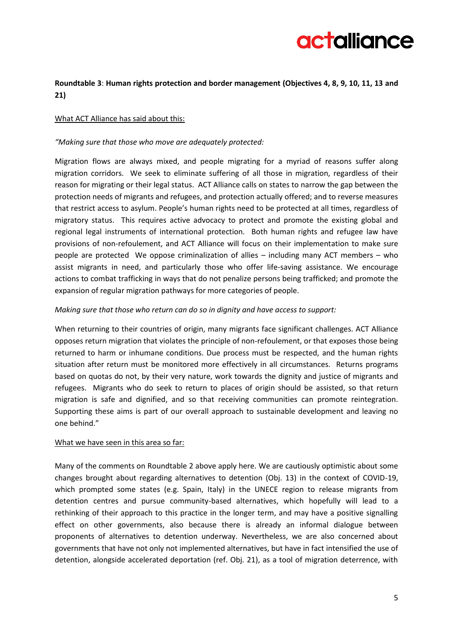

# **Roundtable 3**: **Human rights protection and border management (Objectives 4, 8, 9, 10, 11, 13 and 21)**

## What ACT Alliance has said about this:

## *"Making sure that those who move are adequately protected:*

Migration flows are always mixed, and people migrating for a myriad of reasons suffer along migration corridors. We seek to eliminate suffering of all those in migration, regardless of their reason for migrating or their legal status. ACT Alliance calls on states to narrow the gap between the protection needs of migrants and refugees, and protection actually offered; and to reverse measures that restrict access to asylum. People's human rights need to be protected at all times, regardless of migratory status. This requires active advocacy to protect and promote the existing global and regional legal instruments of international protection. Both human rights and refugee law have provisions of non-refoulement, and ACT Alliance will focus on their implementation to make sure people are protected We oppose criminalization of allies – including many ACT members – who assist migrants in need, and particularly those who offer life-saving assistance. We encourage actions to combat trafficking in ways that do not penalize persons being trafficked; and promote the expansion of regular migration pathways for more categories of people.

## *Making sure that those who return can do so in dignity and have access to support:*

When returning to their countries of origin, many migrants face significant challenges. ACT Alliance opposes return migration that violates the principle of non-refoulement, or that exposes those being returned to harm or inhumane conditions. Due process must be respected, and the human rights situation after return must be monitored more effectively in all circumstances. Returns programs based on quotas do not, by their very nature, work towards the dignity and justice of migrants and refugees. Migrants who do seek to return to places of origin should be assisted, so that return migration is safe and dignified, and so that receiving communities can promote reintegration. Supporting these aims is part of our overall approach to sustainable development and leaving no one behind."

## What we have seen in this area so far:

Many of the comments on Roundtable 2 above apply here. We are cautiously optimistic about some changes brought about regarding alternatives to detention (Obj. 13) in the context of COVID-19, which prompted some states (e.g. Spain, Italy) in the UNECE region to release migrants from detention centres and pursue community-based alternatives, which hopefully will lead to a rethinking of their approach to this practice in the longer term, and may have a positive signalling effect on other governments, also because there is already an informal dialogue between proponents of alternatives to detention underway. Nevertheless, we are also concerned about governments that have not only not implemented alternatives, but have in fact intensified the use of detention, alongside accelerated deportation (ref. Obj. 21), as a tool of migration deterrence, with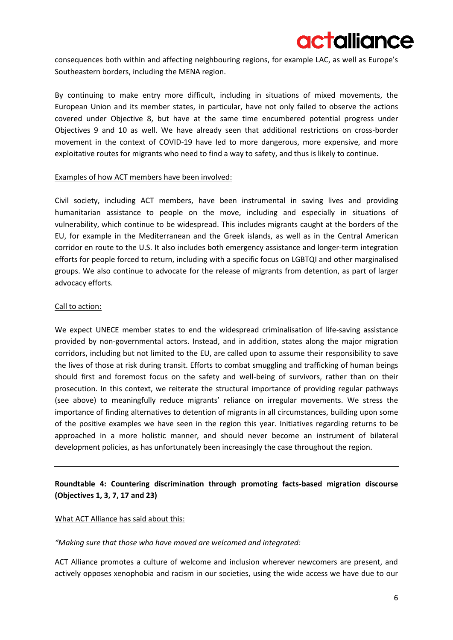

consequences both within and affecting neighbouring regions, for example LAC, as well as Europe's Southeastern borders, including the MENA region.

By continuing to make entry more difficult, including in situations of mixed movements, the European Union and its member states, in particular, have not only failed to observe the actions covered under Objective 8, but have at the same time encumbered potential progress under Objectives 9 and 10 as well. We have already seen that additional restrictions on cross-border movement in the context of COVID-19 have led to more dangerous, more expensive, and more exploitative routes for migrants who need to find a way to safety, and thus is likely to continue.

## Examples of how ACT members have been involved:

Civil society, including ACT members, have been instrumental in saving lives and providing humanitarian assistance to people on the move, including and especially in situations of vulnerability, which continue to be widespread. This includes migrants caught at the borders of the EU, for example in the Mediterranean and the Greek islands, as well as in the Central American corridor en route to the U.S. It also includes both emergency assistance and longer-term integration efforts for people forced to return, including with a specific focus on LGBTQI and other marginalised groups. We also continue to advocate for the release of migrants from detention, as part of larger advocacy efforts.

## Call to action:

We expect UNECE member states to end the widespread criminalisation of life-saving assistance provided by non-governmental actors. Instead, and in addition, states along the major migration corridors, including but not limited to the EU, are called upon to assume their responsibility to save the lives of those at risk during transit. Efforts to combat smuggling and trafficking of human beings should first and foremost focus on the safety and well-being of survivors, rather than on their prosecution. In this context, we reiterate the structural importance of providing regular pathways (see above) to meaningfully reduce migrants' reliance on irregular movements. We stress the importance of finding alternatives to detention of migrants in all circumstances, building upon some of the positive examples we have seen in the region this year. Initiatives regarding returns to be approached in a more holistic manner, and should never become an instrument of bilateral development policies, as has unfortunately been increasingly the case throughout the region.

# **Roundtable 4: Countering discrimination through promoting facts-based migration discourse (Objectives 1, 3, 7, 17 and 23)**

## What ACT Alliance has said about this:

## *"Making sure that those who have moved are welcomed and integrated:*

ACT Alliance promotes a culture of welcome and inclusion wherever newcomers are present, and actively opposes xenophobia and racism in our societies, using the wide access we have due to our